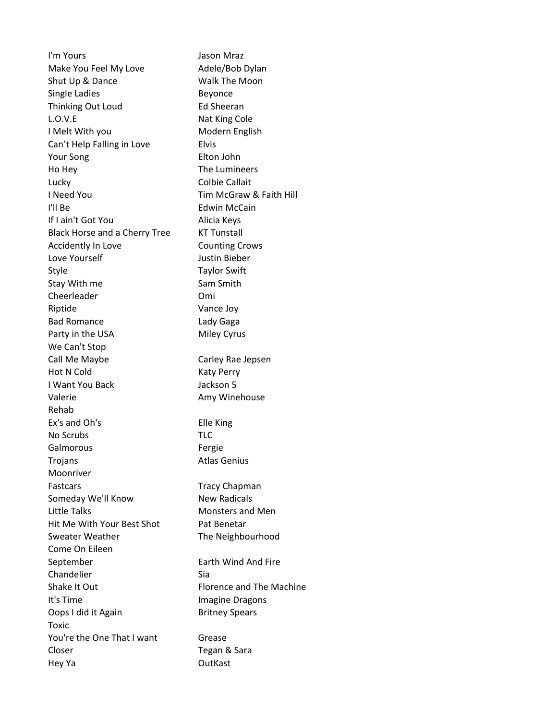I'm Yours **I'm** Yours **Jason** Mraz Make You Feel My Love Adele/Bob Dylan Shut Up & Dance Walk The Moon Single Ladies **Beyonce** Thinking Out Loud **Ed Sheeran** L.O.V.E Nat King Cole I Melt With you Modern English Can't Help Falling in Love Elvis Your Song Elton John Ho Hey The Lumineers Lucky Colbie Callait I Need You **I CONFINGLE TIM** McGraw & Faith Hill I'll Be **Edwin McCain** If I ain't Got You and Alicia Keys Black Horse and a Cherry Tree KT Tunstall Accidently In Love **Counting Crows** Love Yourself **Guide Contact Contact Contact Contact Contact Contact Contact Contact Contact Contact Contact Contact Contact Contact Contact Contact Contact Contact Contact Contact Contact Contact Contact Contact Contact C** Style Taylor Swift Stay With me Stay Sam Smith Cheerleader Omi Riptide Vance Joy Bad Romance Lady Gaga Party in the USA Miley Cyrus We Can't Stop Call Me Maybe **Carley Rae** Jepsen Hot N Cold Katy Perry I Want You Back Jackson 5 Valerie **Amy Winehouse** Amy Winehouse Rehab Ex's and Oh's Elle King No Scrubs TLC Galmorous **Fergie** Trojans **Atlas** Genius Moonriver Fastcars Tracy Chapman Someday We'll Know New Radicals Little Talks **Monsters** and Men Hit Me With Your Best Shot Pat Benetar Sweater Weather The Neighbourhood Come On Eileen September **Earth Wind And Fire** Chandelier Sia Shake It Out **Florence** and The Machine It's Time **Imagine** Dragons Oops I did it Again Britney Spears Toxic You're the One That I want Grease Closer **Tegan & Sara** Hey Ya OutKast